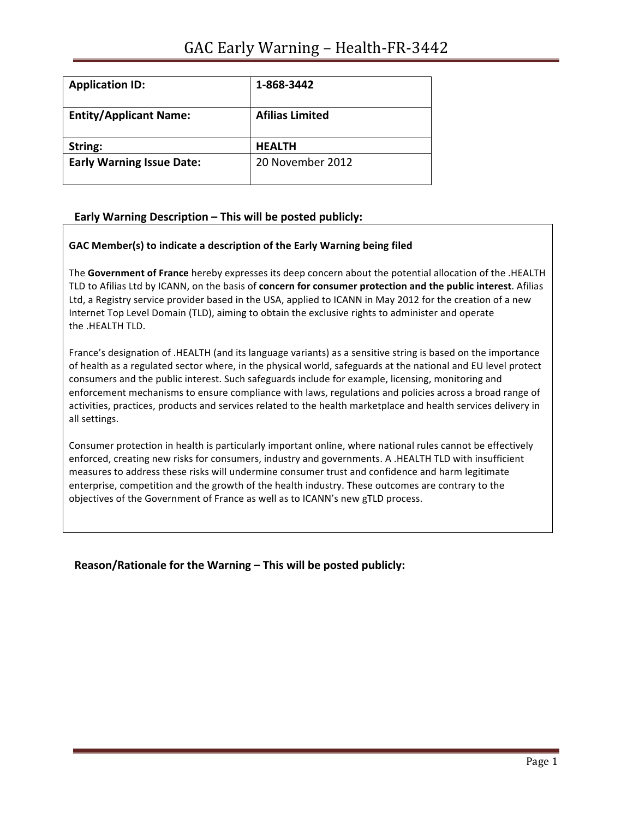| <b>Application ID:</b>           | 1-868-3442             |
|----------------------------------|------------------------|
| <b>Entity/Applicant Name:</b>    | <b>Afilias Limited</b> |
| String:                          | <b>HEALTH</b>          |
| <b>Early Warning Issue Date:</b> | 20 November 2012       |

## Early Warning Description - This will be posted publicly:

### GAC Member(s) to indicate a description of the Early Warning being filed

The Government of France hereby expresses its deep concern about the potential allocation of the .HEALTH TLD to Afilias Ltd by ICANN, on the basis of **concern for consumer protection and the public interest**. Afilias Ltd, a Registry service provider based in the USA, applied to ICANN in May 2012 for the creation of a new Internet Top Level Domain (TLD), aiming to obtain the exclusive rights to administer and operate the .HEALTH TLD.

France's designation of .HEALTH (and its language variants) as a sensitive string is based on the importance of health as a regulated sector where, in the physical world, safeguards at the national and EU level protect consumers and the public interest. Such safeguards include for example, licensing, monitoring and enforcement mechanisms to ensure compliance with laws, regulations and policies across a broad range of activities, practices, products and services related to the health marketplace and health services delivery in all settings.

Consumer protection in health is particularly important online, where national rules cannot be effectively enforced, creating new risks for consumers, industry and governments. A .HEALTH TLD with insufficient measures to address these risks will undermine consumer trust and confidence and harm legitimate enterprise, competition and the growth of the health industry. These outcomes are contrary to the objectives of the Government of France as well as to ICANN's new gTLD process.

**Reason/Rationale for the Warning – This will be posted publicly:**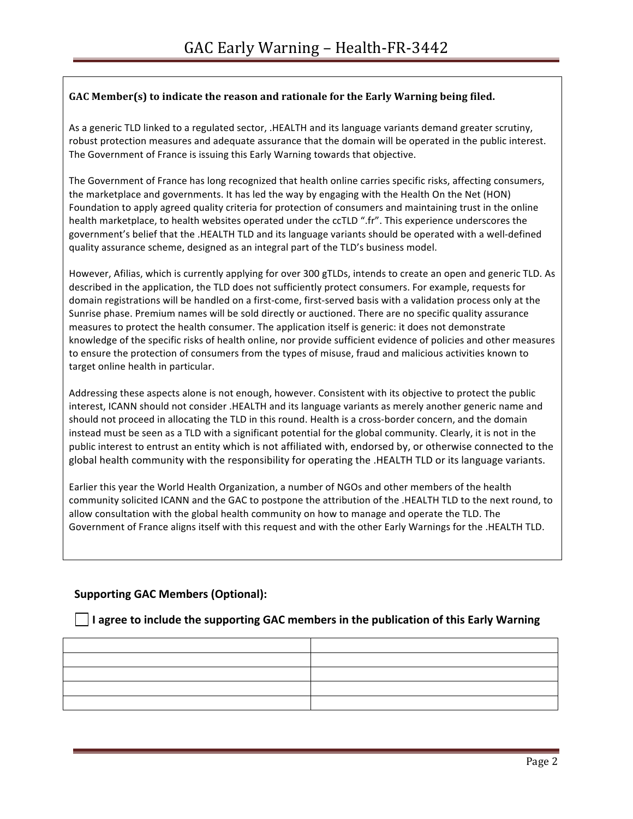## GAC Member(s) to indicate the reason and rationale for the Early Warning being filed.

As a generic TLD linked to a regulated sector, .HEALTH and its language variants demand greater scrutiny, robust protection measures and adequate assurance that the domain will be operated in the public interest. The Government of France is issuing this Early Warning towards that objective.

The Government of France has long recognized that health online carries specific risks, affecting consumers, the marketplace and governments. It has led the way by engaging with the Health On the Net (HON) Foundation to apply agreed quality criteria for protection of consumers and maintaining trust in the online health marketplace, to health websites operated under the ccTLD ".fr". This experience underscores the government's belief that the .HEALTH TLD and its language variants should be operated with a well-defined quality assurance scheme, designed as an integral part of the TLD's business model.

However, Afilias, which is currently applying for over 300 gTLDs, intends to create an open and generic TLD. As described in the application, the TLD does not sufficiently protect consumers. For example, requests for domain registrations will be handled on a first-come, first-served basis with a validation process only at the Sunrise phase. Premium names will be sold directly or auctioned. There are no specific quality assurance measures to protect the health consumer. The application itself is generic: it does not demonstrate knowledge of the specific risks of health online, nor provide sufficient evidence of policies and other measures to ensure the protection of consumers from the types of misuse, fraud and malicious activities known to target online health in particular.

Addressing these aspects alone is not enough, however. Consistent with its objective to protect the public interest, ICANN should not consider .HEALTH and its language variants as merely another generic name and should not proceed in allocating the TLD in this round. Health is a cross-border concern, and the domain instead must be seen as a TLD with a significant potential for the global community. Clearly, it is not in the public interest to entrust an entity which is not affiliated with, endorsed by, or otherwise connected to the global health community with the responsibility for operating the .HEALTH TLD or its language variants.

Earlier this year the World Health Organization, a number of NGOs and other members of the health community solicited ICANN and the GAC to postpone the attribution of the .HEALTH TLD to the next round, to allow consultation with the global health community on how to manage and operate the TLD. The Government of France aligns itself with this request and with the other Early Warnings for the .HEALTH TLD.

## **Supporting GAC Members (Optional):**

### I agree to include the supporting GAC members in the publication of this Early Warning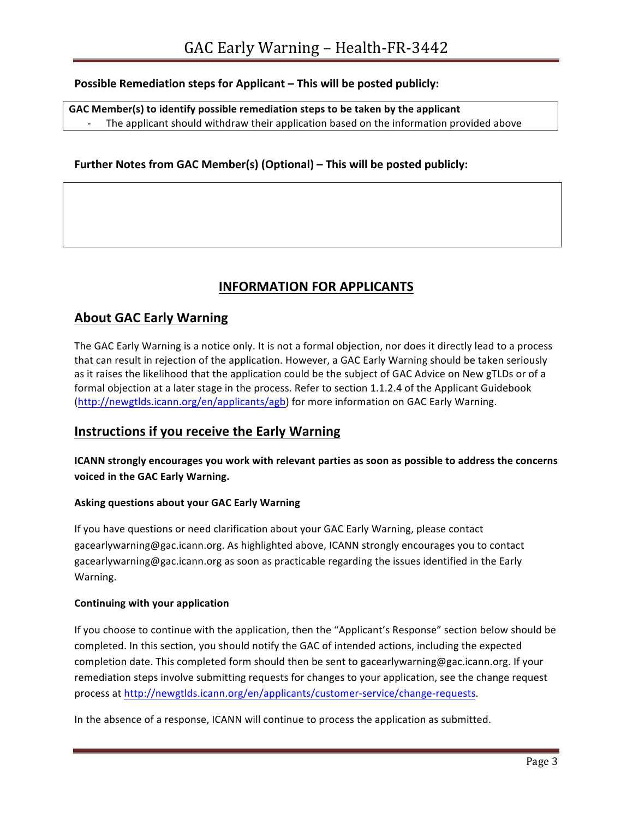## **Possible Remediation steps for Applicant – This will be posted publicly:**

GAC Member(s) to identify possible remediation steps to be taken by the applicant The applicant should withdraw their application based on the information provided above

## Further Notes from GAC Member(s) (Optional) – This will be posted publicly:

# **INFORMATION FOR APPLICANTS**

# **About GAC Early Warning**

The GAC Early Warning is a notice only. It is not a formal objection, nor does it directly lead to a process that can result in rejection of the application. However, a GAC Early Warning should be taken seriously as it raises the likelihood that the application could be the subject of GAC Advice on New gTLDs or of a formal objection at a later stage in the process. Refer to section 1.1.2.4 of the Applicant Guidebook (http://newgtlds.icann.org/en/applicants/agb) for more information on GAC Early Warning.

## **Instructions if you receive the Early Warning**

**ICANN** strongly encourages you work with relevant parties as soon as possible to address the concerns **voiced in the GAC Early Warning.** 

### **Asking questions about your GAC Early Warning**

If you have questions or need clarification about your GAC Early Warning, please contact gacearlywarning@gac.icann.org. As highlighted above, ICANN strongly encourages you to contact gacearlywarning@gac.icann.org as soon as practicable regarding the issues identified in the Early Warning. 

### **Continuing with your application**

If you choose to continue with the application, then the "Applicant's Response" section below should be completed. In this section, you should notify the GAC of intended actions, including the expected completion date. This completed form should then be sent to gacearlywarning@gac.icann.org. If your remediation steps involve submitting requests for changes to your application, see the change request process at http://newgtlds.icann.org/en/applicants/customer-service/change-requests.

In the absence of a response, ICANN will continue to process the application as submitted.